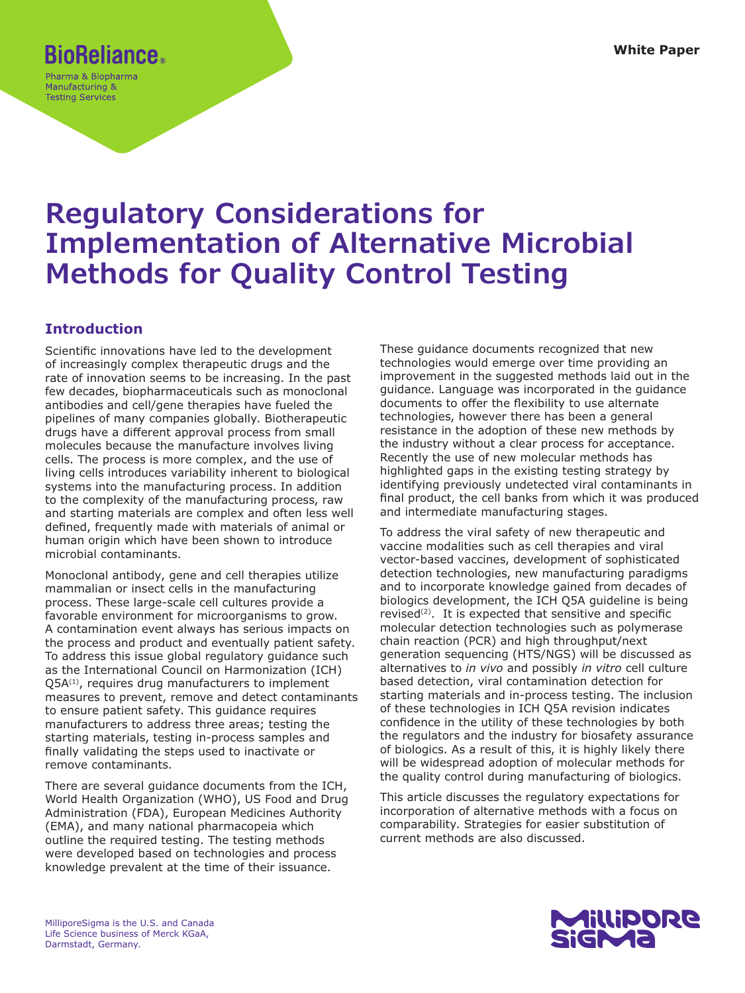## **BioReliance.**

Pharma & Biopharma Manufacturing & **Testing Services** 

# **Regulatory Considerations for Implementation of Alternative Microbial Methods for Quality Control Testing**

## **Introduction**

Scientific innovations have led to the development of increasingly complex therapeutic drugs and the rate of innovation seems to be increasing. In the past few decades, biopharmaceuticals such as monoclonal antibodies and cell/gene therapies have fueled the pipelines of many companies globally. Biotherapeutic drugs have a different approval process from small molecules because the manufacture involves living cells. The process is more complex, and the use of living cells introduces variability inherent to biological systems into the manufacturing process. In addition to the complexity of the manufacturing process, raw and starting materials are complex and often less well defined, frequently made with materials of animal or human origin which have been shown to introduce microbial contaminants.

Monoclonal antibody, gene and cell therapies utilize mammalian or insect cells in the manufacturing process. These large-scale cell cultures provide a favorable environment for microorganisms to grow. A contamination event always has serious impacts on the process and product and eventually patient safety. To address this issue global regulatory guidance such as the International Council on Harmonization (ICH)  $Q5A^{(1)}$ , requires drug manufacturers to implement measures to prevent, remove and detect contaminants to ensure patient safety. This guidance requires manufacturers to address three areas; testing the starting materials, testing in-process samples and finally validating the steps used to inactivate or remove contaminants.

There are several guidance documents from the ICH, World Health Organization (WHO), US Food and Drug Administration (FDA), European Medicines Authority (EMA), and many national pharmacopeia which outline the required testing. The testing methods were developed based on technologies and process knowledge prevalent at the time of their issuance.

These guidance documents recognized that new technologies would emerge over time providing an improvement in the suggested methods laid out in the guidance. Language was incorporated in the guidance documents to offer the flexibility to use alternate technologies, however there has been a general resistance in the adoption of these new methods by the industry without a clear process for acceptance. Recently the use of new molecular methods has highlighted gaps in the existing testing strategy by identifying previously undetected viral contaminants in final product, the cell banks from which it was produced and intermediate manufacturing stages.

To address the viral safety of new therapeutic and vaccine modalities such as cell therapies and viral vector-based vaccines, development of sophisticated detection technologies, new manufacturing paradigms and to incorporate knowledge gained from decades of biologics development, the ICH Q5A guideline is being revised<sup>(2)</sup>. It is expected that sensitive and specific molecular detection technologies such as polymerase chain reaction (PCR) and high throughput/next generation sequencing (HTS/NGS) will be discussed as alternatives to *in vivo* and possibly *in vitro* cell culture based detection, viral contamination detection for starting materials and in-process testing. The inclusion of these technologies in ICH Q5A revision indicates confidence in the utility of these technologies by both the regulators and the industry for biosafety assurance of biologics. As a result of this, it is highly likely there will be widespread adoption of molecular methods for the quality control during manufacturing of biologics.

This article discusses the regulatory expectations for incorporation of alternative methods with a focus on comparability. Strategies for easier substitution of current methods are also discussed.

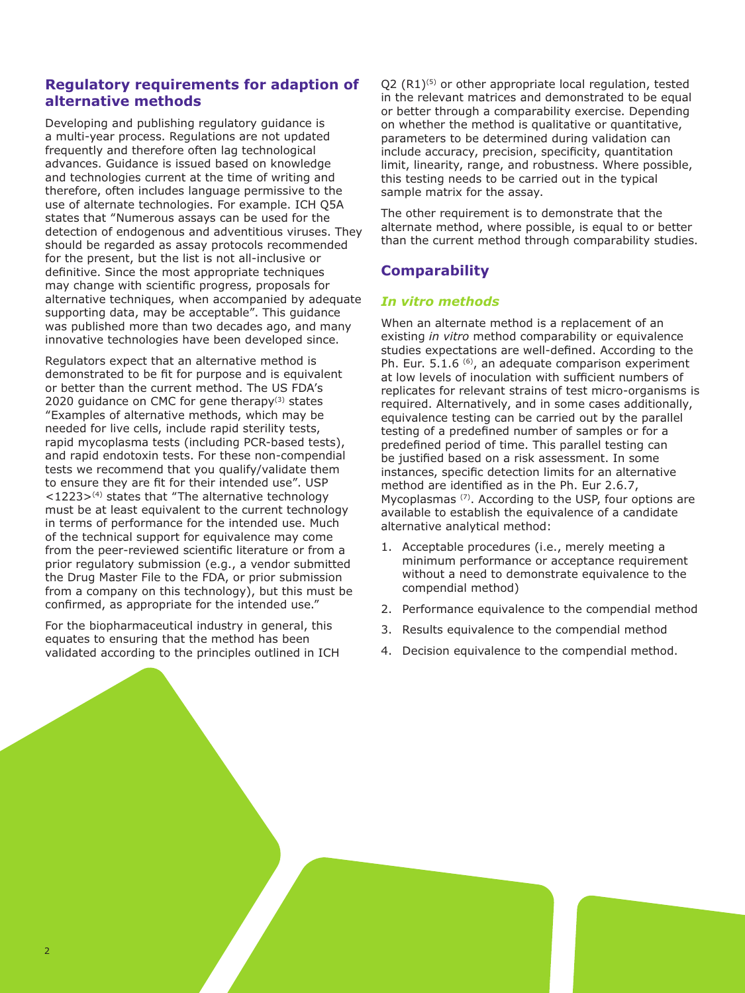## **Regulatory requirements for adaption of alternative methods**

Developing and publishing regulatory guidance is a multi-year process. Regulations are not updated frequently and therefore often lag technological advances. Guidance is issued based on knowledge and technologies current at the time of writing and therefore, often includes language permissive to the use of alternate technologies. For example. ICH Q5A states that "Numerous assays can be used for the detection of endogenous and adventitious viruses. They should be regarded as assay protocols recommended for the present, but the list is not all-inclusive or definitive. Since the most appropriate techniques may change with scientific progress, proposals for alternative techniques, when accompanied by adequate supporting data, may be acceptable". This guidance was published more than two decades ago, and many innovative technologies have been developed since.

Regulators expect that an alternative method is demonstrated to be fit for purpose and is equivalent or better than the current method. The US FDA's 2020 guidance on CMC for gene therapy $(3)$  states "Examples of alternative methods, which may be needed for live cells, include rapid sterility tests, rapid mycoplasma tests (including PCR-based tests), and rapid endotoxin tests. For these non-compendial tests we recommend that you qualify/validate them to ensure they are fit for their intended use". USP  $<$ 1223><sup>(4)</sup> states that "The alternative technology must be at least equivalent to the current technology in terms of performance for the intended use. Much of the technical support for equivalence may come from the peer-reviewed scientific literature or from a prior regulatory submission (e.g., a vendor submitted the Drug Master File to the FDA, or prior submission from a company on this technology), but this must be confirmed, as appropriate for the intended use."

For the biopharmaceutical industry in general, this equates to ensuring that the method has been validated according to the principles outlined in ICH  $Q2$  (R1)<sup>(5)</sup> or other appropriate local regulation, tested in the relevant matrices and demonstrated to be equal or better through a comparability exercise. Depending on whether the method is qualitative or quantitative, parameters to be determined during validation can include accuracy, precision, specificity, quantitation limit, linearity, range, and robustness. Where possible, this testing needs to be carried out in the typical sample matrix for the assay.

The other requirement is to demonstrate that the alternate method, where possible, is equal to or better than the current method through comparability studies.

## **Comparability**

### *In vitro methods*

When an alternate method is a replacement of an existing *in vitro* method comparability or equivalence studies expectations are well-defined. According to the Ph. Eur. 5.1.6<sup>(6)</sup>, an adequate comparison experiment at low levels of inoculation with sufficient numbers of replicates for relevant strains of test micro-organisms is required. Alternatively, and in some cases additionally, equivalence testing can be carried out by the parallel testing of a predefined number of samples or for a predefined period of time. This parallel testing can be justified based on a risk assessment. In some instances, specific detection limits for an alternative method are identified as in the Ph. Eur 2.6.7, Mycoplasmas (7). According to the USP, four options are available to establish the equivalence of a candidate alternative analytical method:

- 1. Acceptable procedures (i.e., merely meeting a minimum performance or acceptance requirement without a need to demonstrate equivalence to the compendial method)
- 2. Performance equivalence to the compendial method
- 3. Results equivalence to the compendial method
- 4. Decision equivalence to the compendial method.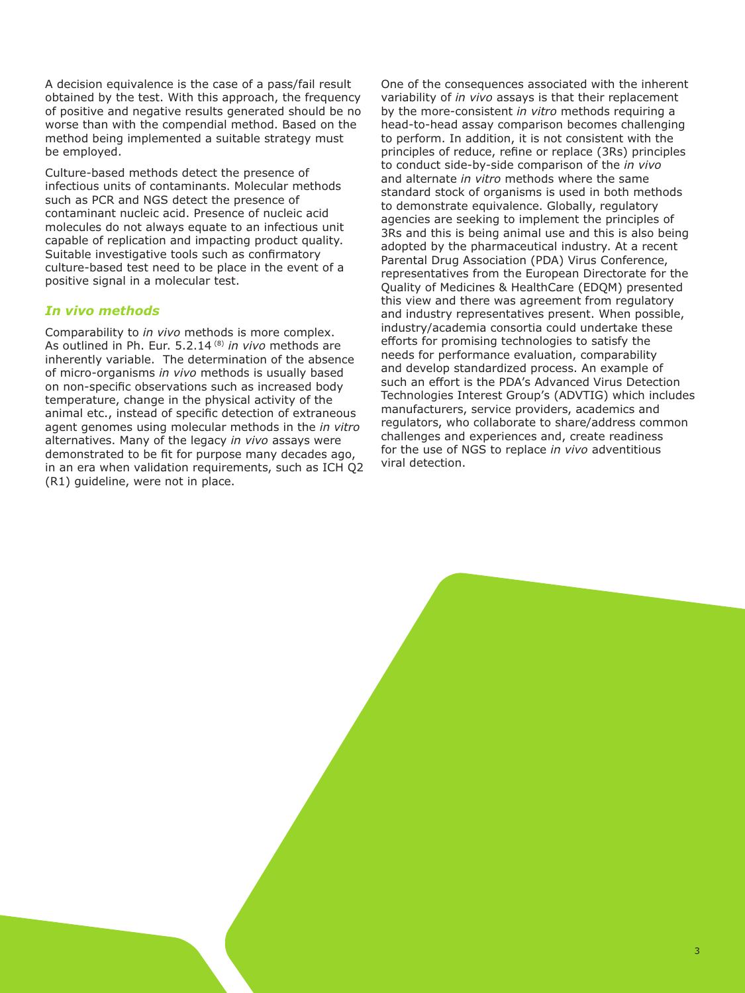A decision equivalence is the case of a pass/fail result obtained by the test. With this approach, the frequency of positive and negative results generated should be no worse than with the compendial method. Based on the method being implemented a suitable strategy must be employed.

Culture-based methods detect the presence of infectious units of contaminants. Molecular methods such as PCR and NGS detect the presence of contaminant nucleic acid. Presence of nucleic acid molecules do not always equate to an infectious unit capable of replication and impacting product quality. Suitable investigative tools such as confirmatory culture-based test need to be place in the event of a positive signal in a molecular test.

### *In vivo methods*

Comparability to *in vivo* methods is more complex. As outlined in Ph. Eur. 5.2.14 (8) *in vivo* methods are inherently variable. The determination of the absence of micro-organisms *in vivo* methods is usually based on non-specific observations such as increased body temperature, change in the physical activity of the animal etc., instead of specific detection of extraneous agent genomes using molecular methods in the *in vitro* alternatives. Many of the legacy *in vivo* assays were demonstrated to be fit for purpose many decades ago, in an era when validation requirements, such as ICH Q2 (R1) guideline, were not in place.

One of the consequences associated with the inherent variability of *in vivo* assays is that their replacement by the more-consistent *in vitro* methods requiring a head-to-head assay comparison becomes challenging to perform. In addition, it is not consistent with the principles of reduce, refine or replace (3Rs) principles to conduct side-by-side comparison of the *in vivo* and alternate *in vitro* methods where the same standard stock of organisms is used in both methods to demonstrate equivalence. Globally, regulatory agencies are seeking to implement the principles of 3Rs and this is being animal use and this is also being adopted by the pharmaceutical industry. At a recent Parental Drug Association (PDA) Virus Conference, representatives from the European Directorate for the Quality of Medicines & HealthCare (EDQM) presented this view and there was agreement from regulatory and industry representatives present. When possible, industry/academia consortia could undertake these efforts for promising technologies to satisfy the needs for performance evaluation, comparability and develop standardized process. An example of such an effort is the PDA's Advanced Virus Detection Technologies Interest Group's (ADVTIG) which includes manufacturers, service providers, academics and regulators, who collaborate to share/address common challenges and experiences and, create readiness for the use of NGS to replace *in vivo* adventitious viral detection.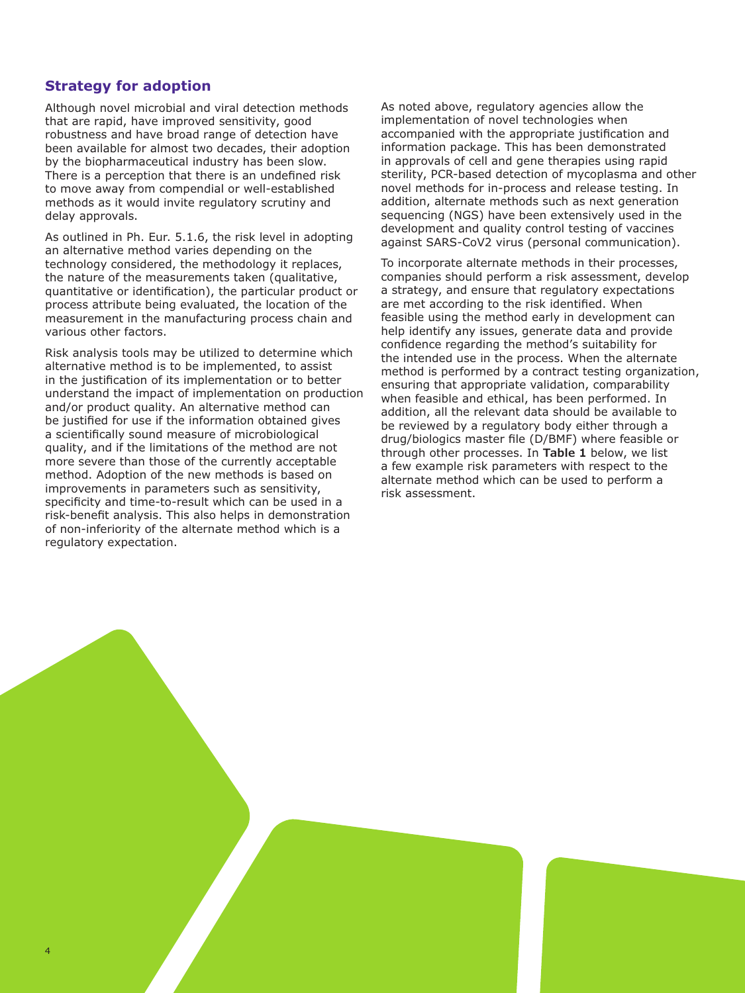## **Strategy for adoption**

4

Although novel microbial and viral detection methods that are rapid, have improved sensitivity, good robustness and have broad range of detection have been available for almost two decades, their adoption by the biopharmaceutical industry has been slow. There is a perception that there is an undefined risk to move away from compendial or well-established methods as it would invite regulatory scrutiny and delay approvals.

As outlined in Ph. Eur. 5.1.6, the risk level in adopting an alternative method varies depending on the technology considered, the methodology it replaces, the nature of the measurements taken (qualitative, quantitative or identification), the particular product or process attribute being evaluated, the location of the measurement in the manufacturing process chain and various other factors.

Risk analysis tools may be utilized to determine which alternative method is to be implemented, to assist in the justification of its implementation or to better understand the impact of implementation on production and/or product quality. An alternative method can be justified for use if the information obtained gives a scientifically sound measure of microbiological quality, and if the limitations of the method are not more severe than those of the currently acceptable method. Adoption of the new methods is based on improvements in parameters such as sensitivity, specificity and time-to-result which can be used in a risk-benefit analysis. This also helps in demonstration of non-inferiority of the alternate method which is a regulatory expectation.

As noted above, regulatory agencies allow the implementation of novel technologies when accompanied with the appropriate justification and information package. This has been demonstrated in approvals of cell and gene therapies using rapid sterility, PCR-based detection of mycoplasma and other novel methods for in-process and release testing. In addition, alternate methods such as next generation sequencing (NGS) have been extensively used in the development and quality control testing of vaccines against SARS-CoV2 virus (personal communication).

To incorporate alternate methods in their processes, companies should perform a risk assessment, develop a strategy, and ensure that regulatory expectations are met according to the risk identified. When feasible using the method early in development can help identify any issues, generate data and provide confidence regarding the method's suitability for the intended use in the process. When the alternate method is performed by a contract testing organization, ensuring that appropriate validation, comparability when feasible and ethical, has been performed. In addition, all the relevant data should be available to be reviewed by a regulatory body either through a drug/biologics master file (D/BMF) where feasible or through other processes. In **Table 1** below, we list a few example risk parameters with respect to the alternate method which can be used to perform a risk assessment.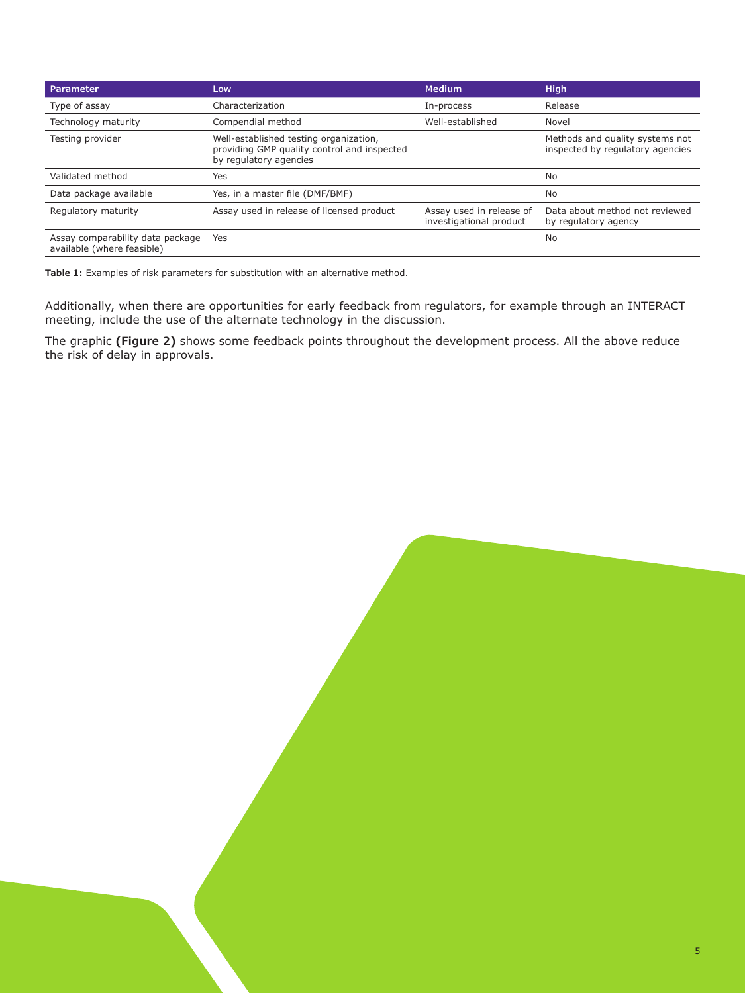| <b>Parameter</b>                                               | Low                                                                                                             | <b>Medium</b>                                       | <b>High</b>                                                         |
|----------------------------------------------------------------|-----------------------------------------------------------------------------------------------------------------|-----------------------------------------------------|---------------------------------------------------------------------|
| Type of assay                                                  | Characterization                                                                                                | In-process                                          | Release                                                             |
| Technology maturity                                            | Compendial method                                                                                               | Well-established                                    | Novel                                                               |
| Testing provider                                               | Well-established testing organization,<br>providing GMP quality control and inspected<br>by regulatory agencies |                                                     | Methods and quality systems not<br>inspected by regulatory agencies |
| Validated method                                               | Yes                                                                                                             |                                                     | No                                                                  |
| Data package available                                         | Yes, in a master file (DMF/BMF)                                                                                 |                                                     | No                                                                  |
| Regulatory maturity                                            | Assay used in release of licensed product                                                                       | Assay used in release of<br>investigational product | Data about method not reviewed<br>by regulatory agency              |
| Assay comparability data package<br>available (where feasible) | Yes                                                                                                             |                                                     | No                                                                  |

**Table 1:** Examples of risk parameters for substitution with an alternative method.

Additionally, when there are opportunities for early feedback from regulators, for example through an INTERACT meeting, include the use of the alternate technology in the discussion.

The graphic **(Figure 2)** shows some feedback points throughout the development process. All the above reduce the risk of delay in approvals.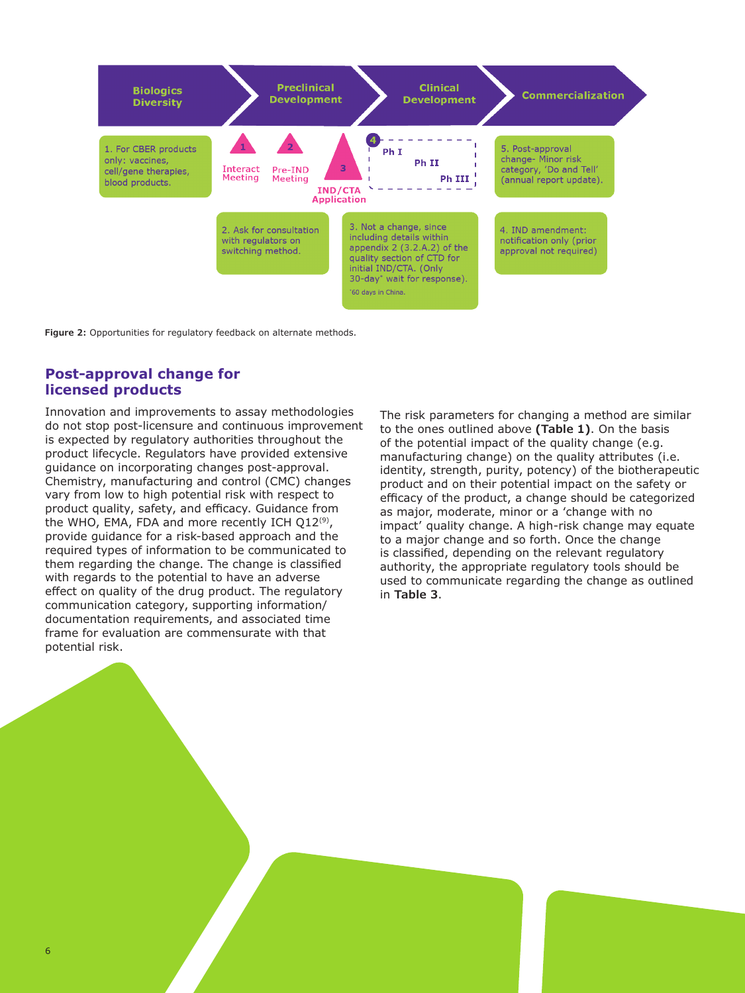

**Figure 2:** Opportunities for regulatory feedback on alternate methods.

### **Post-approval change for licensed products**

Innovation and improvements to assay methodologies do not stop post-licensure and continuous improvement is expected by regulatory authorities throughout the product lifecycle. Regulators have provided extensive guidance on incorporating changes post-approval. Chemistry, manufacturing and control (CMC) changes vary from low to high potential risk with respect to product quality, safety, and efficacy. Guidance from the WHO, EMA, FDA and more recently ICH Q12(9), provide guidance for a risk-based approach and the required types of information to be communicated to them regarding the change. The change is classified with regards to the potential to have an adverse effect on quality of the drug product. The regulatory communication category, supporting information/ documentation requirements, and associated time frame for evaluation are commensurate with that potential risk.

The risk parameters for changing a method are similar to the ones outlined above **(Table 1)**. On the basis of the potential impact of the quality change (e.g. manufacturing change) on the quality attributes (i.e. identity, strength, purity, potency) of the biotherapeutic product and on their potential impact on the safety or efficacy of the product, a change should be categorized as major, moderate, minor or a 'change with no impact' quality change. A high-risk change may equate to a major change and so forth. Once the change is classified, depending on the relevant regulatory authority, the appropriate regulatory tools should be used to communicate regarding the change as outlined in **Table 3**.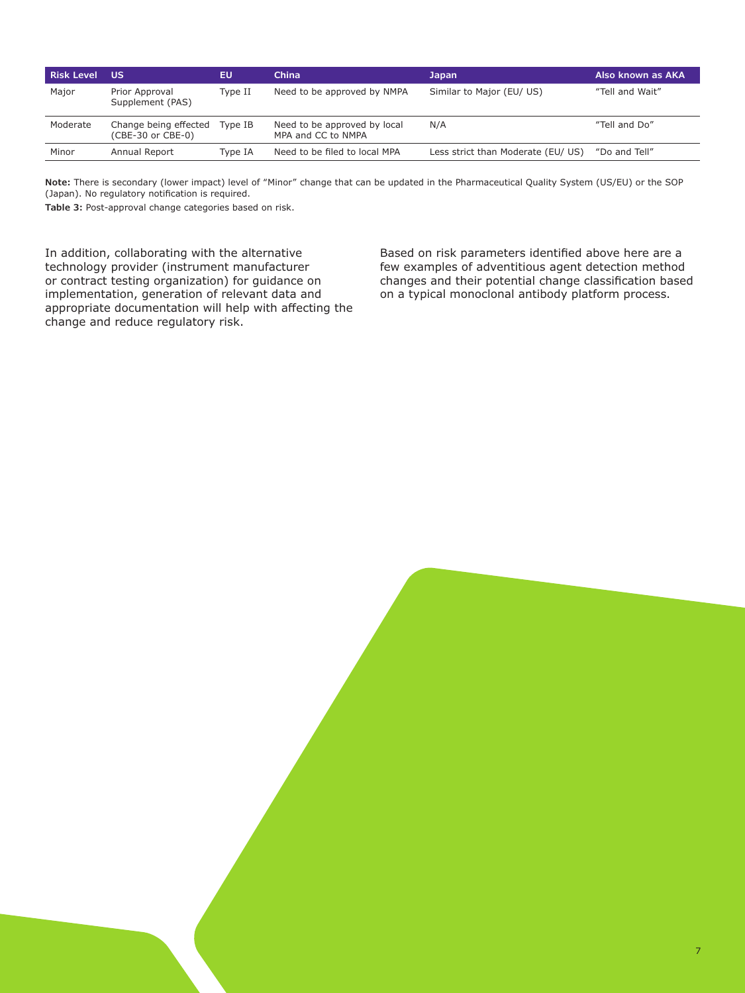| <b>Risk Level</b> | ้บร                                        | EU      | <b>China</b>                                       | <b>Japan</b>                      | Also known as AKA |
|-------------------|--------------------------------------------|---------|----------------------------------------------------|-----------------------------------|-------------------|
| Major             | Prior Approval<br>Supplement (PAS)         | Type II | Need to be approved by NMPA                        | Similar to Major (EU/ US)         | "Tell and Wait"   |
| Moderate          | Change being effected<br>(CBE-30 or CBE-0) | Type IB | Need to be approved by local<br>MPA and CC to NMPA | N/A                               | "Tell and Do"     |
| Minor             | Annual Report                              | Type IA | Need to be filed to local MPA                      | Less strict than Moderate (EU/US) | "Do and Tell"     |

**Note:** There is secondary (lower impact) level of "Minor" change that can be updated in the Pharmaceutical Quality System (US/EU) or the SOP (Japan). No regulatory notification is required.

**Table 3:** Post-approval change categories based on risk.

In addition, collaborating with the alternative technology provider (instrument manufacturer or contract testing organization) for guidance on implementation, generation of relevant data and appropriate documentation will help with affecting the change and reduce regulatory risk.

Based on risk parameters identified above here are a few examples of adventitious agent detection method changes and their potential change classification based on a typical monoclonal antibody platform process.